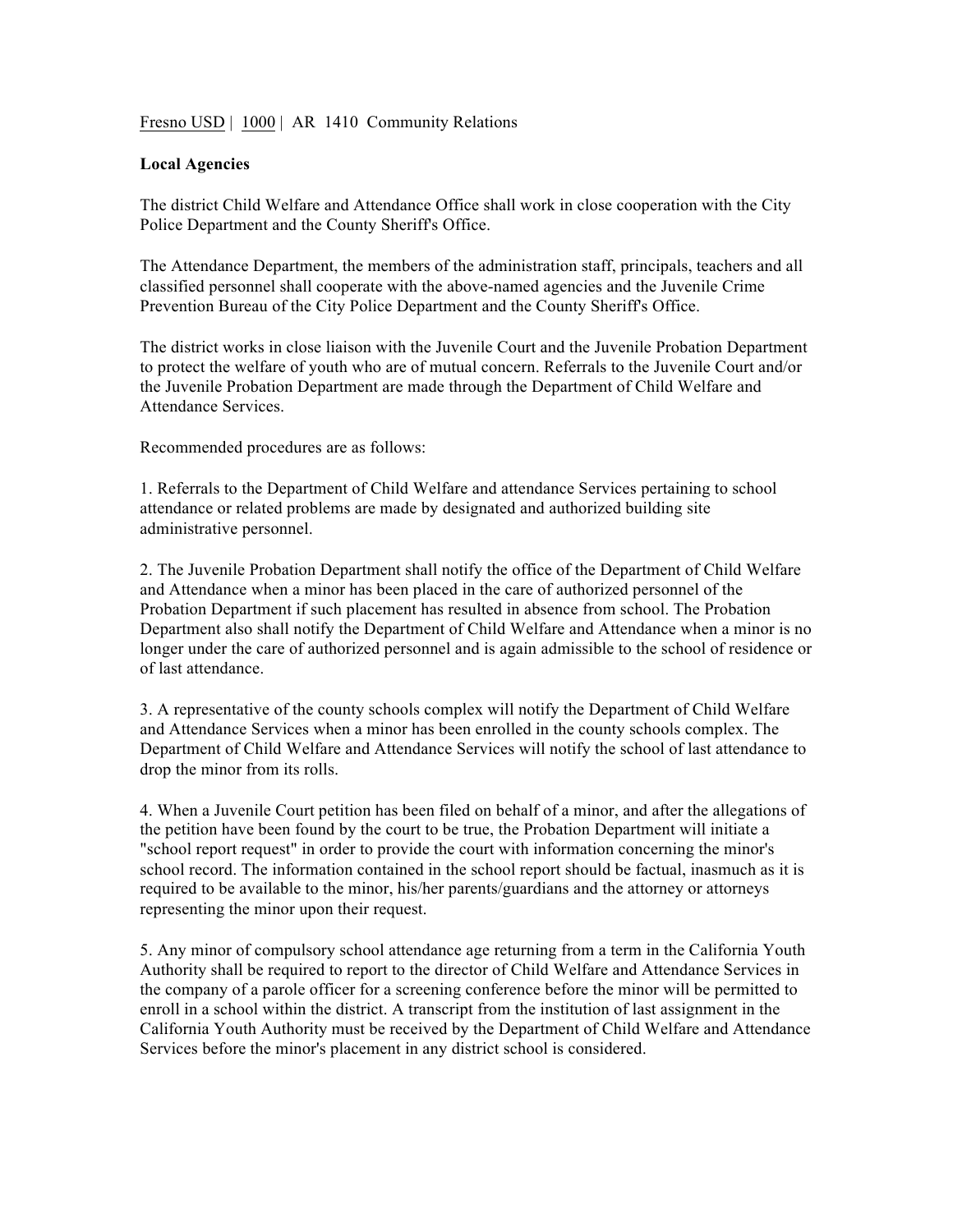Fresno USD | 1000 | AR 1410 Community Relations

## **Local Agencies**

The district Child Welfare and Attendance Office shall work in close cooperation with the City Police Department and the County Sheriff's Office.

The Attendance Department, the members of the administration staff, principals, teachers and all classified personnel shall cooperate with the above-named agencies and the Juvenile Crime Prevention Bureau of the City Police Department and the County Sheriff's Office.

The district works in close liaison with the Juvenile Court and the Juvenile Probation Department to protect the welfare of youth who are of mutual concern. Referrals to the Juvenile Court and/or the Juvenile Probation Department are made through the Department of Child Welfare and Attendance Services.

Recommended procedures are as follows:

1. Referrals to the Department of Child Welfare and attendance Services pertaining to school attendance or related problems are made by designated and authorized building site administrative personnel.

2. The Juvenile Probation Department shall notify the office of the Department of Child Welfare and Attendance when a minor has been placed in the care of authorized personnel of the Probation Department if such placement has resulted in absence from school. The Probation Department also shall notify the Department of Child Welfare and Attendance when a minor is no longer under the care of authorized personnel and is again admissible to the school of residence or of last attendance.

3. A representative of the county schools complex will notify the Department of Child Welfare and Attendance Services when a minor has been enrolled in the county schools complex. The Department of Child Welfare and Attendance Services will notify the school of last attendance to drop the minor from its rolls.

4. When a Juvenile Court petition has been filed on behalf of a minor, and after the allegations of the petition have been found by the court to be true, the Probation Department will initiate a "school report request" in order to provide the court with information concerning the minor's school record. The information contained in the school report should be factual, inasmuch as it is required to be available to the minor, his/her parents/guardians and the attorney or attorneys representing the minor upon their request.

5. Any minor of compulsory school attendance age returning from a term in the California Youth Authority shall be required to report to the director of Child Welfare and Attendance Services in the company of a parole officer for a screening conference before the minor will be permitted to enroll in a school within the district. A transcript from the institution of last assignment in the California Youth Authority must be received by the Department of Child Welfare and Attendance Services before the minor's placement in any district school is considered.